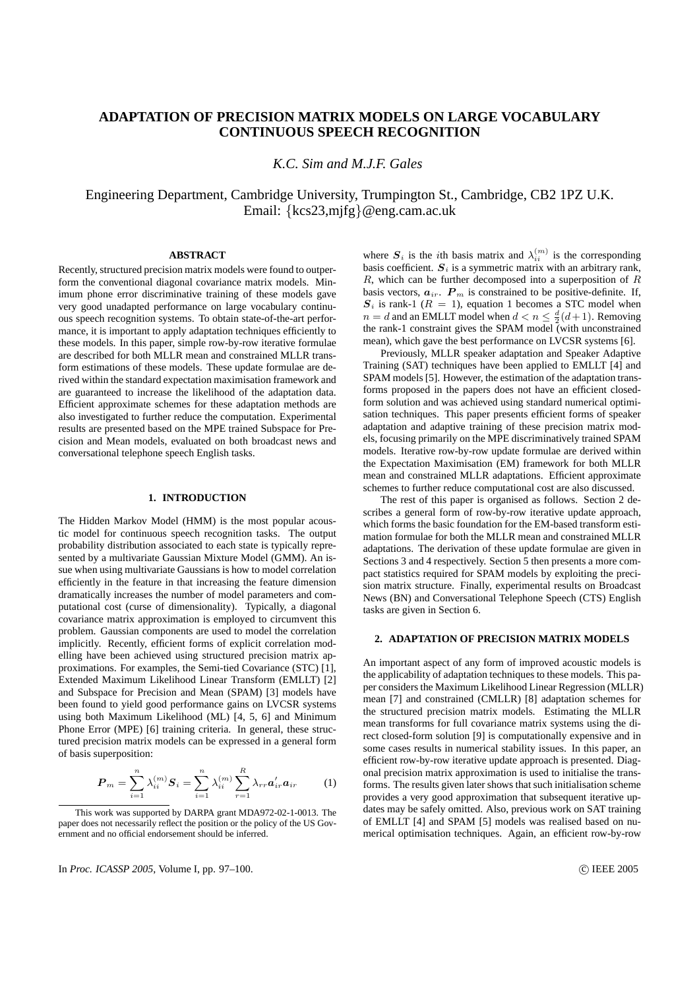# **ADAPTATION OF PRECISION MATRIX MODELS ON LARGE VOCABULARY CONTINUOUS SPEECH RECOGNITION**

*K.C. Sim and M.J.F. Gales*

Engineering Department, Cambridge University, Trumpington St., Cambridge, CB2 1PZ U.K. Email: {kcs23,mjfg}@eng.cam.ac.uk

## **ABSTRACT**

Recently, structured precision matrix models were found to outperform the conventional diagonal covariance matrix models. Minimum phone error discriminative training of these models gave very good unadapted performance on large vocabulary continuous speech recognition systems. To obtain state-of-the-art performance, it is important to apply adaptation techniques efficiently to these models. In this paper, simple row-by-row iterative formulae are described for both MLLR mean and constrained MLLR transform estimations of these models. These update formulae are derived within the standard expectation maximisation framework and are guaranteed to increase the likelihood of the adaptation data. Efficient approximate schemes for these adaptation methods are also investigated to further reduce the computation. Experimental results are presented based on the MPE trained Subspace for Precision and Mean models, evaluated on both broadcast news and conversational telephone speech English tasks.

## **1. INTRODUCTION**

The Hidden Markov Model (HMM) is the most popular acoustic model for continuous speech recognition tasks. The output probability distribution associated to each state is typically represented by a multivariate Gaussian Mixture Model (GMM). An issue when using multivariate Gaussians is how to model correlation efficiently in the feature in that increasing the feature dimension dramatically increases the number of model parameters and computational cost (curse of dimensionality). Typically, a diagonal covariance matrix approximation is employed to circumvent this problem. Gaussian components are used to model the correlation implicitly. Recently, efficient forms of explicit correlation modelling have been achieved using structured precision matrix approximations. For examples, the Semi-tied Covariance (STC) [1], Extended Maximum Likelihood Linear Transform (EMLLT) [2] and Subspace for Precision and Mean (SPAM) [3] models have been found to yield good performance gains on LVCSR systems using both Maximum Likelihood (ML) [4, 5, 6] and Minimum Phone Error (MPE) [6] training criteria. In general, these structured precision matrix models can be expressed in a general form of basis superposition:

$$
\boldsymbol{P}_m = \sum_{i=1}^n \lambda_{ii}^{(m)} \boldsymbol{S}_i = \sum_{i=1}^n \lambda_{ii}^{(m)} \sum_{r=1}^R \lambda_{rr} \boldsymbol{a}_{ir}^{'} \boldsymbol{a}_{ir}
$$
 (1)

This work was supported by DARPA grant MDA972-02-1-0013. The paper does not necessarily reflect the position or the policy of the US Government and no official endorsement should be inferred.

In *Proc. ICASSP 2005*, Volume I, pp. 97–100. <sup>2</sup> (2005) **C** IEEE 2005

where  $S_i$  is the *i*th basis matrix and  $\lambda_{ii}^{(m)}$  is the corresponding basis coefficient.  $S_i$  is a symmetric matrix with an arbitrary rank,  $R$ , which can be further decomposed into a superposition of  $R$ basis vectors,  $a_{ir}$ .  $P_m$  is constrained to be positive-definite. If,  $S_i$  is rank-1 ( $R = 1$ ), equation 1 becomes a STC model when  $n = d$  and an EMLLT model when  $d < n \leq \frac{d}{2}(d+1)$ . Removing the rank-1 constraint gives the SPAM model (with unconstrained mean), which gave the best performance on LVCSR systems [6].

Previously, MLLR speaker adaptation and Speaker Adaptive Training (SAT) techniques have been applied to EMLLT [4] and SPAM models [5]. However, the estimation of the adaptation transforms proposed in the papers does not have an efficient closedform solution and was achieved using standard numerical optimisation techniques. This paper presents efficient forms of speaker adaptation and adaptive training of these precision matrix models, focusing primarily on the MPE discriminatively trained SPAM models. Iterative row-by-row update formulae are derived within the Expectation Maximisation (EM) framework for both MLLR mean and constrained MLLR adaptations. Efficient approximate schemes to further reduce computational cost are also discussed.

The rest of this paper is organised as follows. Section 2 describes a general form of row-by-row iterative update approach, which forms the basic foundation for the EM-based transform estimation formulae for both the MLLR mean and constrained MLLR adaptations. The derivation of these update formulae are given in Sections 3 and 4 respectively. Section 5 then presents a more compact statistics required for SPAM models by exploiting the precision matrix structure. Finally, experimental results on Broadcast News (BN) and Conversational Telephone Speech (CTS) English tasks are given in Section 6.

## **2. ADAPTATION OF PRECISION MATRIX MODELS**

An important aspect of any form of improved acoustic models is the applicability of adaptation techniques to these models. This paper considers the Maximum Likelihood Linear Regression (MLLR) mean [7] and constrained (CMLLR) [8] adaptation schemes for the structured precision matrix models. Estimating the MLLR mean transforms for full covariance matrix systems using the direct closed-form solution [9] is computationally expensive and in some cases results in numerical stability issues. In this paper, an efficient row-by-row iterative update approach is presented. Diagonal precision matrix approximation is used to initialise the transforms. The results given later shows that such initialisation scheme provides a very good approximation that subsequent iterative updates may be safely omitted. Also, previous work on SAT training of EMLLT [4] and SPAM [5] models was realised based on numerical optimisation techniques. Again, an efficient row-by-row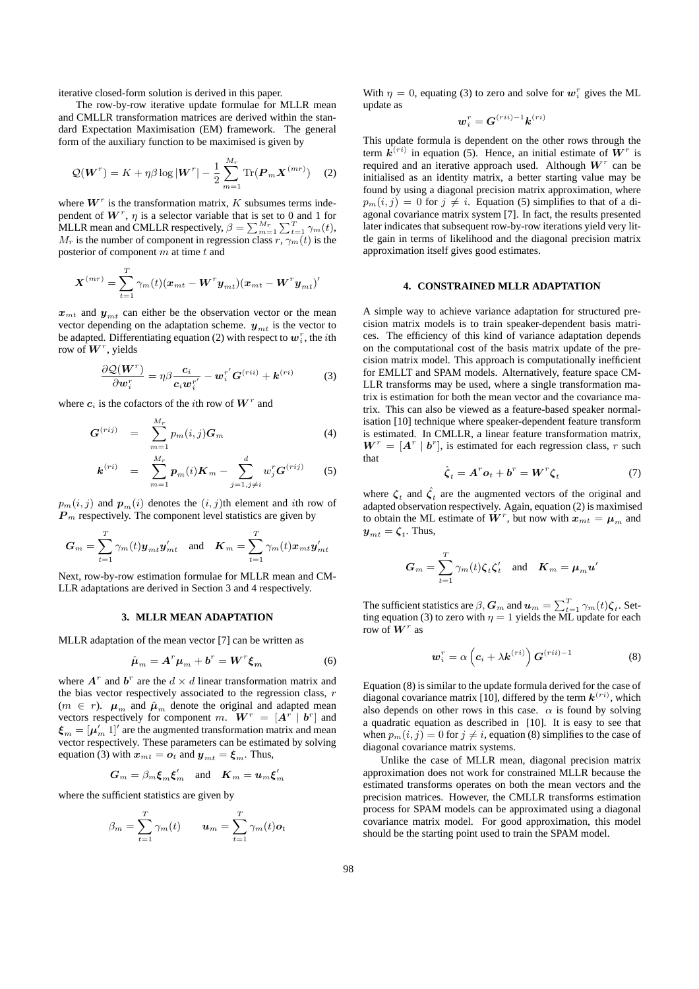iterative closed-form solution is derived in this paper.

The row-by-row iterative update formulae for MLLR mean and CMLLR transformation matrices are derived within the standard Expectation Maximisation (EM) framework. The general form of the auxiliary function to be maximised is given by

$$
\mathcal{Q}(\boldsymbol{W}^r) = K + \eta \beta \log |\boldsymbol{W}^r| - \frac{1}{2} \sum_{m=1}^{M_r} \text{Tr}(\boldsymbol{P}_m \boldsymbol{X}^{(mr)}) \quad (2)
$$

where  $W^r$  is the transformation matrix, K subsumes terms independent of  $W^r$ ,  $\eta$  is a selector variable that is set to 0 and 1 for pendent of *W*, *η* is a selector variable that is set to 0 and 1 for MLLR mean and CMLLR respectively,  $β = \sum_{m=1}^{M_r} \sum_{t=1}^{T} \gamma_m(t)$ ,  $M_r$  is the number of component in regression class  $r, \gamma_m(t)$  is the posterior of component  $m$  at time  $t$  and

$$
\boldsymbol{X}^{(mr)}=\sum_{t=1}^T\gamma_m(t)(\boldsymbol{x}_{mt}-\boldsymbol{W}^{r}\boldsymbol{y}_{mt})(\boldsymbol{x}_{mt}-\boldsymbol{W}^{r}\boldsymbol{y}_{mt})'
$$

 $x<sub>mt</sub>$  and  $y<sub>mt</sub>$  can either be the observation vector or the mean vector depending on the adaptation scheme.  $y_{mt}$  is the vector to be adapted. Differentiating equation (2) with respect to  $w_i^r$ , the *i*th row of  $\boldsymbol{W}^r$ , yields

$$
\frac{\partial \mathcal{Q}(\boldsymbol{W}^r)}{\partial \boldsymbol{w}_i^r} = \eta \beta \frac{\boldsymbol{c}_i}{\boldsymbol{c}_i \boldsymbol{w}_i^{r'}} - \boldsymbol{w}_i^{r'} \boldsymbol{G}^{(rii)} + \boldsymbol{k}^{(ri)}
$$
(3)

where  $c_i$  is the cofactors of the *i*th row of  $W^r$  and

$$
\boldsymbol{G}^{(rij)} = \sum_{m=1}^{M_r} p_m(i,j) \boldsymbol{G}_m \tag{4}
$$

$$
\boldsymbol{k}^{(ri)} = \sum_{m=1}^{M_r} \boldsymbol{p}_m(i) \boldsymbol{K}_m - \sum_{j=1, j \neq i}^d w_j^r \boldsymbol{G}^{(rij)} \qquad (5)
$$

 $p_m(i, j)$  and  $p_m(i)$  denotes the  $(i, j)$ th element and *i*th row of  $P<sub>m</sub>$  respectively. The component level statistics are given by

$$
G_m = \sum_{t=1}^T \gamma_m(t) \boldsymbol{y}_{mt} \boldsymbol{y}_{mt}' \quad \text{and} \quad \boldsymbol{K}_m = \sum_{t=1}^T \gamma_m(t) \boldsymbol{x}_{mt} \boldsymbol{y}_{mt}'
$$

Next, row-by-row estimation formulae for MLLR mean and CM-LLR adaptations are derived in Section 3 and 4 respectively.

## **3. MLLR MEAN ADAPTATION**

MLLR adaptation of the mean vector [7] can be written as

$$
\hat{\boldsymbol{\mu}}_m = \boldsymbol{A}^r \boldsymbol{\mu}_m + \boldsymbol{b}^r = \boldsymbol{W}^r \boldsymbol{\xi}_m \tag{6}
$$

where  $A^r$  and  $b^r$  are the  $d \times d$  linear transformation matrix and the bias vector respectively associated to the regression class,  $r$  $(m \in r)$ .  $\mu_m$  and  $\hat{\mu}_m$  denote the original and adapted mean vectors respectively for component m.  $\mathbf{W}^r = [\mathbf{A}^r \mid \mathbf{b}^r]$  and  $\xi_m = [\mu_m^{''} 1]'$  are the augmented transformation matrix and mean vector respectively. These parameters can be estimated by solving equation (3) with  $x_{mt} = o_t$  and  $y_{mt} = \xi_m$ . Thus,

$$
G_m = \beta_m \xi_m \xi'_m \quad \text{and} \quad K_m = u_m \xi'_m
$$

where the sufficient statistics are given by

$$
\beta_m = \sum_{t=1}^T \gamma_m(t) \qquad \mathbf{u}_m = \sum_{t=1}^T \gamma_m(t) \mathbf{o}_t
$$

With  $\eta = 0$ , equating (3) to zero and solve for  $w_i^r$  gives the ML update as

$$
\boldsymbol{w}_i^r=\boldsymbol{G}^{(rii)-1}\boldsymbol{k}^{(ri)}
$$

This update formula is dependent on the other rows through the term  $\mathbf{k}^{(ri)}$  in equation (5). Hence, an initial estimate of  $\mathbf{W}^r$  is required and an iterative approach used. Although  $W^r$  can be initialised as an identity matrix, a better starting value may be found by using a diagonal precision matrix approximation, where  $p_m(i, j) = 0$  for  $j \neq i$ . Equation (5) simplifies to that of a diagonal covariance matrix system [7]. In fact, the results presented later indicates that subsequent row-by-row iterations yield very little gain in terms of likelihood and the diagonal precision matrix approximation itself gives good estimates.

#### **4. CONSTRAINED MLLR ADAPTATION**

A simple way to achieve variance adaptation for structured precision matrix models is to train speaker-dependent basis matrices. The efficiency of this kind of variance adaptation depends on the computational cost of the basis matrix update of the precision matrix model. This approach is computationally inefficient for EMLLT and SPAM models. Alternatively, feature space CM-LLR transforms may be used, where a single transformation matrix is estimation for both the mean vector and the covariance matrix. This can also be viewed as a feature-based speaker normalisation [10] technique where speaker-dependent feature transform is estimated. In CMLLR, a linear feature transformation matrix,  $W^r = [A^r | b^r]$ , is estimated for each regression class, r such that

$$
\hat{\zeta}_t = A^{\dagger} o_t + b^{\dagger} = W^{\dagger} \zeta_t \tag{7}
$$

where  $\zeta_t$  and  $\hat{\zeta}_t$  are the augmented vectors of the original and adapted observation respectively. Again, equation (2) is maximised to obtain the ML estimate of  $\dot{W}^r$ , but now with  $x_{mt} = \mu_m$  and  $\boldsymbol{y}_{mt} = \boldsymbol{\zeta}_t$ . Thus,

$$
G_m = \sum_{t=1}^{T} \gamma_m(t) \zeta_t \zeta_t' \quad \text{and} \quad \boldsymbol{K}_m = \boldsymbol{\mu}_m \boldsymbol{u}'
$$

The sufficient statistics are  $\beta$ ,  $\bm{G}_m$  and  $\bm{u}_m = \sum_{t=1}^T \gamma_m(t) \bm{\zeta}_t$ . Set-The sumeron statistics are  $\rho$ ,  $G_m$  and  $u_m - \sum_{t=1}^{\infty} \gamma_m(v) \zeta_t$ . Setting equation (3) to zero with  $\eta = 1$  yields the ML update for each row of  $\boldsymbol{W}^r$  as

$$
\boldsymbol{w}_i^r = \alpha \left( \boldsymbol{c}_i + \lambda \boldsymbol{k}^{(ri)} \right) \boldsymbol{G}^{(rii)-1} \tag{8}
$$

Equation (8) is similar to the update formula derived for the case of diagonal covariance matrix [10], differed by the term  $k^{(ri)}$ , which also depends on other rows in this case.  $\alpha$  is found by solving a quadratic equation as described in [10]. It is easy to see that when  $p_m(i, j) = 0$  for  $j \neq i$ , equation (8) simplifies to the case of diagonal covariance matrix systems.

Unlike the case of MLLR mean, diagonal precision matrix approximation does not work for constrained MLLR because the estimated transforms operates on both the mean vectors and the precision matrices. However, the CMLLR transforms estimation process for SPAM models can be approximated using a diagonal covariance matrix model. For good approximation, this model should be the starting point used to train the SPAM model.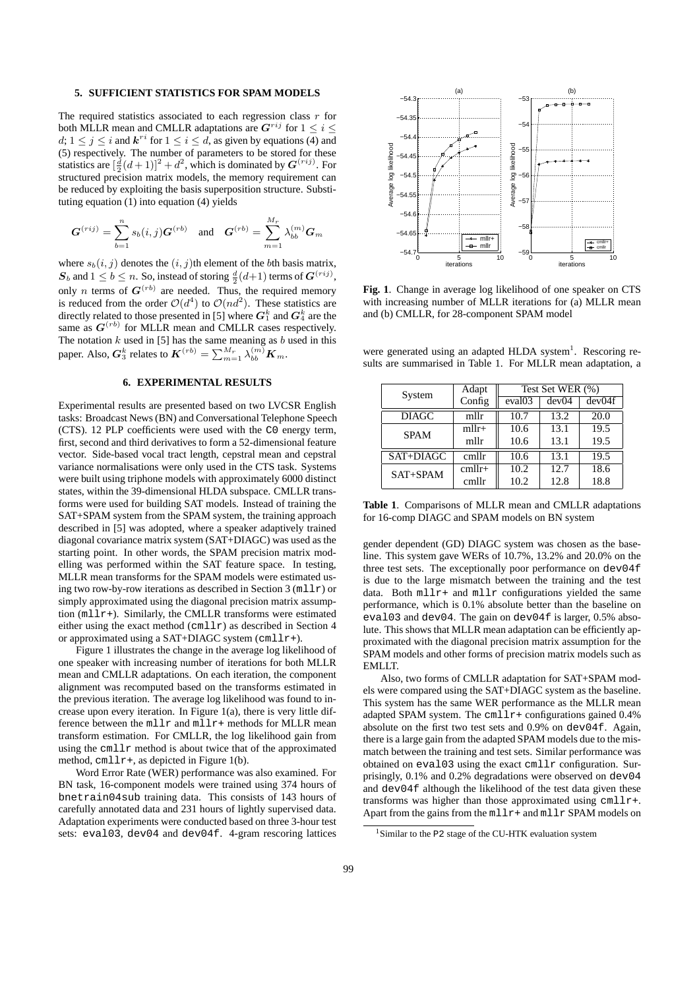## **5. SUFFICIENT STATISTICS FOR SPAM MODELS**

The required statistics associated to each regression class  $r$  for both MLLR mean and CMLLR adaptations are  $G^{rij}$  for  $1 \le i \le j$  $d; 1 \leq j \leq i$  and  $k^{ri}$  for  $1 \leq i \leq d$ , as given by equations (4) and (5) respectively. The number of parameters to be stored for these statistics are  $[\frac{d}{2}(d+1)]^2 + d^2$ , which is dominated by  $G^{(rij)}$ . For structured precision matrix models, the memory requirement can be reduced by exploiting the basis superposition structure. Substituting equation (1) into equation (4) yields

$$
\boldsymbol{G}^{(rij)} = \sum_{b=1}^{n} s_b(i,j) \boldsymbol{G}^{(rb)} \text{ and } \boldsymbol{G}^{(rb)} = \sum_{m=1}^{M_r} \lambda_{bb}^{(m)} \boldsymbol{G}_m
$$

where  $s_b(i, j)$  denotes the  $(i, j)$ th element of the *b*th basis matrix,  $\boldsymbol{S}_b$  and  $1 \leq b \leq n$ . So, instead of storing  $\frac{d}{2}(d+1)$  terms of  $\boldsymbol{G}^{(rij)}$ , only *n* terms of  $G^{(rb)}$  are needed. Thus, the required memory is reduced from the order  $O(d^4)$  to  $O(nd^2)$ . These statistics are directly related to those presented in [5] where  $\bm{G}_1^k$  and  $\bm{G}_4^k$  are the same as  $G^{(rb)}$  for MLLR mean and CMLLR cases respectively. The notation  $k$  used in [5] has the same meaning as  $b$  used in this paper. Also,  $G_3^k$  relates to  $K^{(rb)} = \sum_{m=1}^{M_r} \lambda_{bb}^{(m)} K_m$ .

### **6. EXPERIMENTAL RESULTS**

Experimental results are presented based on two LVCSR English tasks: Broadcast News (BN) and Conversational Telephone Speech (CTS). 12 PLP coefficients were used with the C0 energy term, first, second and third derivatives to form a 52-dimensional feature vector. Side-based vocal tract length, cepstral mean and cepstral variance normalisations were only used in the CTS task. Systems were built using triphone models with approximately 6000 distinct states, within the 39-dimensional HLDA subspace. CMLLR transforms were used for building SAT models. Instead of training the SAT+SPAM system from the SPAM system, the training approach described in [5] was adopted, where a speaker adaptively trained diagonal covariance matrix system (SAT+DIAGC) was used as the starting point. In other words, the SPAM precision matrix modelling was performed within the SAT feature space. In testing, MLLR mean transforms for the SPAM models were estimated using two row-by-row iterations as described in Section  $3 \text{ (mllr)}$  or simply approximated using the diagonal precision matrix assumption (mllr+). Similarly, the CMLLR transforms were estimated either using the exact method (cmllr) as described in Section 4 or approximated using a SAT+DIAGC system  $(cmllr+)$ .

Figure 1 illustrates the change in the average log likelihood of one speaker with increasing number of iterations for both MLLR mean and CMLLR adaptations. On each iteration, the component alignment was recomputed based on the transforms estimated in the previous iteration. The average log likelihood was found to increase upon every iteration. In Figure  $1(a)$ , there is very little difference between the mllr and mllr+ methods for MLLR mean transform estimation. For CMLLR, the log likelihood gain from using the cmllr method is about twice that of the approximated method,  $cmlllrr+$ , as depicted in Figure 1(b).

Word Error Rate (WER) performance was also examined. For BN task, 16-component models were trained using 374 hours of bnetrain04sub training data. This consists of 143 hours of carefully annotated data and 231 hours of lightly supervised data. Adaptation experiments were conducted based on three 3-hour test sets: eval03, dev04 and dev04f. 4-gram rescoring lattices



**Fig. 1**. Change in average log likelihood of one speaker on CTS with increasing number of MLLR iterations for (a) MLLR mean and (b) CMLLR, for 28-component SPAM model

were generated using an adapted HLDA system<sup>1</sup>. Rescoring results are summarised in Table 1. For MLLR mean adaptation, a

| System       | Adapt    | Test Set WER (%)   |       |        |  |  |
|--------------|----------|--------------------|-------|--------|--|--|
|              | Config   | eval <sub>03</sub> | dev04 | dev04f |  |  |
| <b>DIAGC</b> | mllr     | 10.7               | 13.2  | 20.0   |  |  |
| <b>SPAM</b>  | $mllr+$  | 10.6               | 13.1  | 19.5   |  |  |
|              | mllr     | 10.6               | 13.1  | 19.5   |  |  |
| SAT+DIAGC    | cmllr    | 10.6               | 13.1  | 19.5   |  |  |
| $SAT+SPAM$   | $cmllr+$ | 10.2               | 12.7  | 18.6   |  |  |
|              | cmllr    | 10.2               | 12.8  | 18.8   |  |  |

**Table 1**. Comparisons of MLLR mean and CMLLR adaptations for 16-comp DIAGC and SPAM models on BN system

gender dependent (GD) DIAGC system was chosen as the baseline. This system gave WERs of 10.7%, 13.2% and 20.0% on the three test sets. The exceptionally poor performance on dev04f is due to the large mismatch between the training and the test data. Both  $mllr+$  and  $mllr$  configurations yielded the same performance, which is 0.1% absolute better than the baseline on eval03 and dev04. The gain on dev04f is larger, 0.5% absolute. This shows that MLLR mean adaptation can be efficiently approximated with the diagonal precision matrix assumption for the SPAM models and other forms of precision matrix models such as EMLLT.

Also, two forms of CMLLR adaptation for SAT+SPAM models were compared using the SAT+DIAGC system as the baseline. This system has the same WER performance as the MLLR mean adapted SPAM system. The  $cm11r+$  configurations gained 0.4% absolute on the first two test sets and 0.9% on dev04f. Again, there is a large gain from the adapted SPAM models due to the mismatch between the training and test sets. Similar performance was obtained on eval03 using the exact cmllr configuration. Surprisingly, 0.1% and 0.2% degradations were observed on dev04 and dev04f although the likelihood of the test data given these transforms was higher than those approximated using cmllr+. Apart from the gains from the  $mllr+$  and  $mllr$  SPAM models on

<sup>&</sup>lt;sup>1</sup>Similar to the P2 stage of the CU-HTK evaluation system